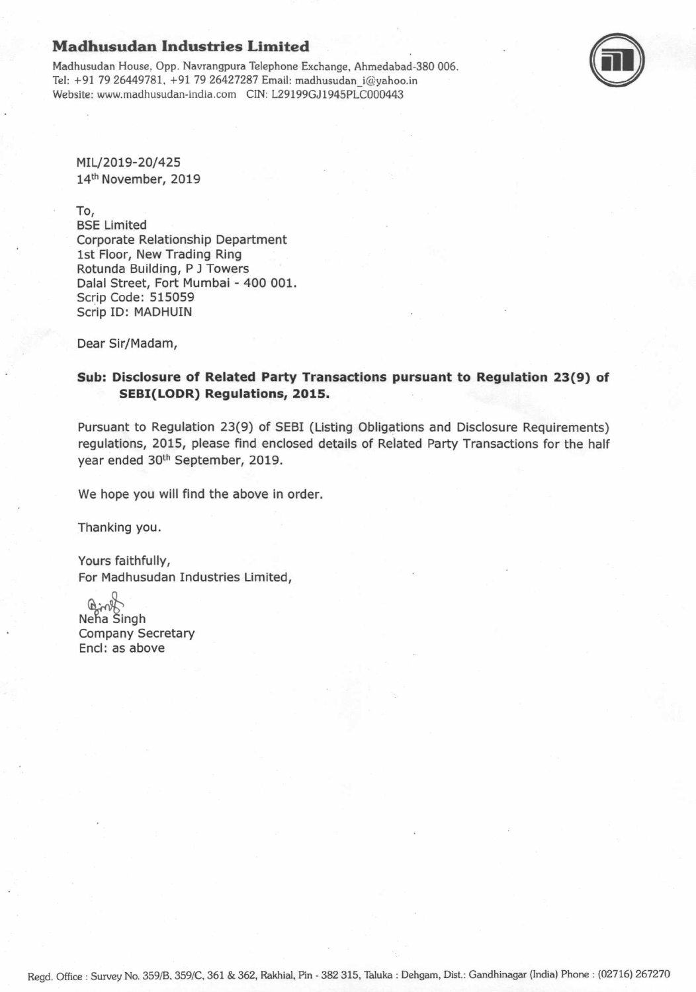## Madhusudan Industries Limited

Madhusudan House, Opp. Nawangpura Telephone Exchange, Ahmedabad-380 006. Tel: +91 79 26449781, +97 79 26427287 Email: madhusudan\_i@yahoo.in W€bsite: www.madhusudan-india.com CIN: L29199GJ1945PLC000443



MIL/2019-20/425 14<sup>th</sup> November, 2019

To,

BSE Limited Corporate Relationship Department lst Floor, New Trading Ring Rotunda Building, P J Towers Dalal Street, Fort Mumbai - 400 001. Scrip Code: 515059 Scrip ID: MADHUIN

Dear Sir/Madam,

## Sub: Disclosure of Related Party Transactions pursuant to Regulation 23(9) of SEBI(LODR) Regulations, 2O15.

Pursuant to Regulation 23(9) of SEBI (Listing Obligations and Disclosure Requirements) regulations, 2015, please find enclosed detalls of Related Party Transactions for the half year ended 3oth September, 2019.

We hope you will find the above in order.

Thanking you.

Yours faithfully, For Madhusudan Industries Limited,

o  $\Theta$ Neha Singh Company Secretary Encl: as above